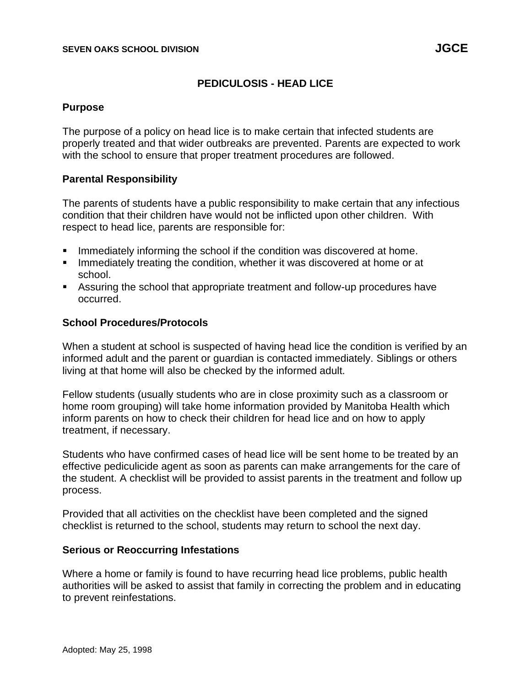# **PEDICULOSIS - HEAD LICE**

#### **Purpose**

The purpose of a policy on head lice is to make certain that infected students are properly treated and that wider outbreaks are prevented. Parents are expected to work with the school to ensure that proper treatment procedures are followed.

### **Parental Responsibility**

The parents of students have a public responsibility to make certain that any infectious condition that their children have would not be inflicted upon other children. With respect to head lice, parents are responsible for:

- **EXED** Immediately informing the school if the condition was discovered at home.
- **EXED** Immediately treating the condition, whether it was discovered at home or at school.
- Assuring the school that appropriate treatment and follow-up procedures have occurred.

### **School Procedures/Protocols**

When a student at school is suspected of having head lice the condition is verified by an informed adult and the parent or guardian is contacted immediately. Siblings or others living at that home will also be checked by the informed adult.

Fellow students (usually students who are in close proximity such as a classroom or home room grouping) will take home information provided by Manitoba Health which inform parents on how to check their children for head lice and on how to apply treatment, if necessary.

Students who have confirmed cases of head lice will be sent home to be treated by an effective pediculicide agent as soon as parents can make arrangements for the care of the student. A checklist will be provided to assist parents in the treatment and follow up process.

Provided that all activities on the checklist have been completed and the signed checklist is returned to the school, students may return to school the next day.

#### **Serious or Reoccurring Infestations**

Where a home or family is found to have recurring head lice problems, public health authorities will be asked to assist that family in correcting the problem and in educating to prevent reinfestations.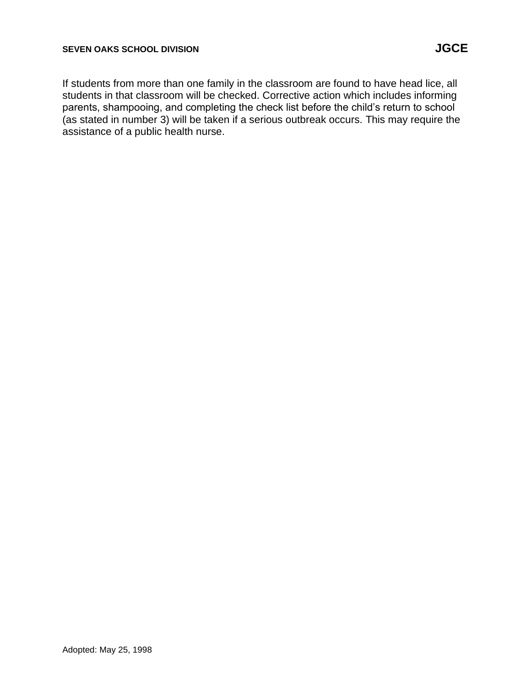If students from more than one family in the classroom are found to have head lice, all students in that classroom will be checked. Corrective action which includes informing parents, shampooing, and completing the check list before the child's return to school (as stated in number 3) will be taken if a serious outbreak occurs. This may require the assistance of a public health nurse.